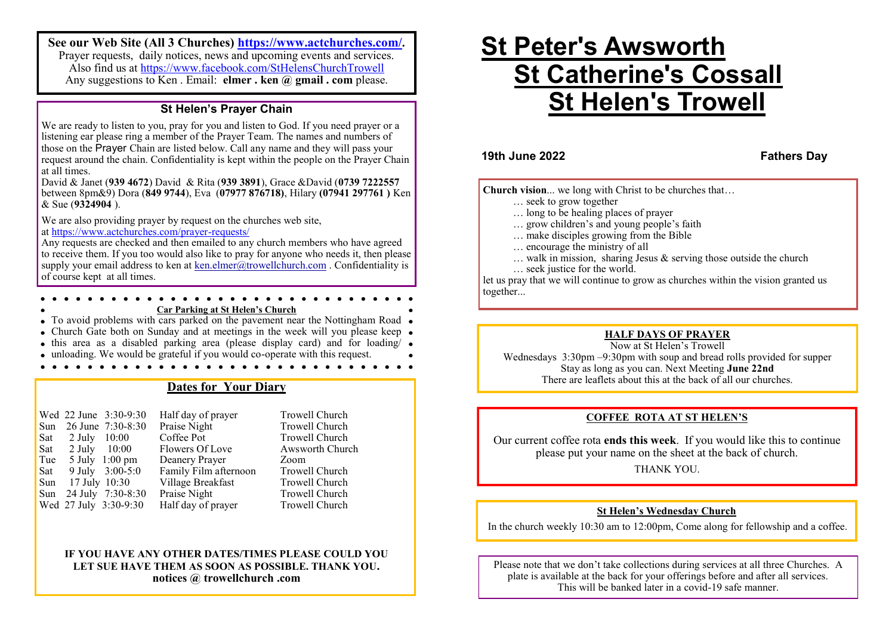**See our Web Site (All 3 Churches) <https://www.actchurches.com/>.** Prayer requests, daily notices, news and upcoming events and services. Also find us at https://www.facebook.com/StHelensChurchTrowell Any suggestions to Ken . Email: **elmer . ken @ gmail . com** please.

## **St Helen's Prayer Chain**

We are ready to listen to you, pray for you and listen to God. If you need prayer or a listening ear please ring a member of the Prayer Team. The names and numbers of those on the Prayer Chain are listed below. Call any name and they will pass your request around the chain. Confidentiality is kept within the people on the Prayer Chain at all times.

David & Janet (**939 4672**) David & Rita (**939 3891**), Grace &David (**0739 7222557**  between 8pm&9) Dora (**849 9744**), Eva (**07977 876718)**, Hilary **(07941 297761 )** Ken & Sue (**9324904** ).

We are also providing prayer by request on the churches web site, at [https://www.actchurches.com/prayer](https://www.actchurches.com/prayer-requests/)-requests/

Any requests are checked and then emailed to any church members who have agreed to receive them. If you too would also like to pray for anyone who needs it, then please supply your email address to ken at [ken.elmer@trowellchurch.com](mailto:ken.elmer@trowellchurch.com) . Confidentiality is of course kept at all times.

#### **Car Parking at St Helen's Church**

 $\bullet$  To avoid problems with cars parked on the pavement near the Nottingham Road  $\bullet$ 

- Church Gate both on Sunday and at meetings in the week will you please keep •
- this area as a disabled parking area (please display card) and for loading  $\bullet$
- unloading. We would be grateful if you would co-operate with this request.

## **Dates for Your Diary**

|     |                             | Wed 22 June 3:30-9:30             | Half day of prayer    | <b>Trowe</b> |
|-----|-----------------------------|-----------------------------------|-----------------------|--------------|
|     |                             | Sun 26 June 7:30-8:30             | Praise Night          | <b>Trowe</b> |
|     | Sat $2 \text{ July } 10:00$ |                                   | Coffee Pot            | <b>Trowe</b> |
|     | Sat $2 \text{ July} 10:00$  |                                   | Flowers Of Love       | Awsw         |
| Tue |                             | $5 \text{ July } 1:00 \text{ pm}$ | Deanery Prayer        | Zoom         |
| Sat |                             | 9 July 3:00-5:0                   | Family Film afternoon | <b>Trowe</b> |
|     | Sun 17 July 10:30           |                                   | Village Breakfast     | <b>Trowe</b> |
|     |                             | Sun 24 July 7:30-8:30             | Praise Night          | <b>Trowe</b> |
|     |                             | Wed 27 July 3:30-9:30             | Half day of prayer    | <b>Trowe</b> |

ayer Trowell Church Trowell Church Trowell Church Note 2 Awsworth Church fternoon Trowell Church fast Trowell Church Trowell Church ayer Trowell Church

### **IF YOU HAVE ANY OTHER DATES/TIMES PLEASE COULD YOU LET SUE HAVE THEM AS SOON AS POSSIBLE. THANK YOU. notices @ trowellchurch .com**

# **St Peter's Awsworth St Catherine's Cossall St Helen's Trowell**

**19th June 2022 Fathers Day**

**Church vision**... we long with Christ to be churches that…

- … seek to grow together
- … long to be healing places of prayer
- … grow children's and young people's faith
- … make disciples growing from the Bible
- … encourage the ministry of all
- $\ldots$  walk in mission, sharing Jesus & serving those outside the church
- … seek justice for the world.

let us pray that we will continue to grow as churches within the vision granted us together...

### **HALF DAYS OF PRAYER**

Now at St Helen's Trowell Wednesdays 3:30pm –9:30pm with soup and bread rolls provided for supper Stay as long as you can. Next Meeting **June 22nd** There are leaflets about this at the back of all our churches.

### **COFFEE ROTA AT ST HELEN'S**

Our current coffee rota **ends this week**. If you would like this to continue please put your name on the sheet at the back of church.

THANK YOU.

### **St Helen's Wednesday Church**

In the church weekly 10:30 am to 12:00pm, Come along for fellowship and a coffee.

Please note that we don't take collections during services at all three Churches. A plate is available at the back for your offerings before and after all services. This will be banked later in a covid-19 safe manner.